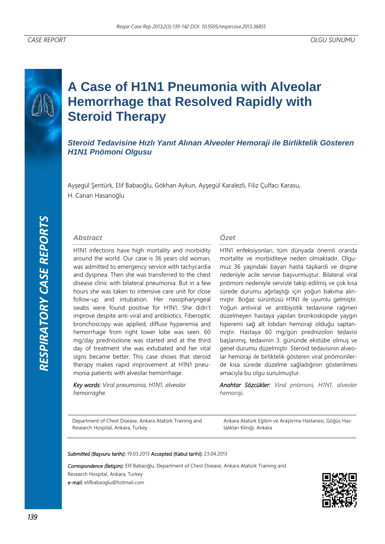# **A Case of H1N1 Pneumonia with Alveolar Hemorrhage that Resolved Rapidly with Steroid Therapy**

# *Steroid Tedavisine Hızlı Yanıt Alınan Alveoler Hemoraji ile Birliktelik Gösteren H1N1 Pnömoni Olgusu*

Ayşegül Şentürk, Elif Babaoğlu, Gökhan Aykun, Ayşegül Karalezli, Filiz Çulfacı Karasu, H. Canan Hasanoğlu

## *Abstract*

H1N1 infections have high mortality and morbidity around the world. Our case is 36 years old woman, was admitted to emergency service with tachycardia and dyspnea. Then she was transferred to the chest disease clinic with bilateral pneumonia. But in a few hours she was taken to intensive care unit for close follow-up and intubation. Her nasopharyngeal swabs were found positive for H1N1. She didn't improve despite anti-viral and antibiotics. Fiberoptic bronchoscopy was applied, diffuse hyperemia and hemorrhage from right lower lobe was seen. 60 mg/day prednisolone was started and at the third day of treatment she was extubated and her vital signs became better. This case shows that steroid therapy makes rapid improvement at H1N1 pneumonia patients with alveolar hemorrhage.

*Key words: Viral pneumonia, H1N1, alveolar hemorraghe*.

# *Özet*

H1N1 enfeksiyonları, tüm dünyada önemli oranda mortalite ve morbiditeye neden olmaktadır. Olgumuz 36 yaşındaki bayan hasta taşikardi ve dispne nedeniyle acile servise başvurmuştur. Bilateral viral pnömoni nedeniyle serviste takip edilmiş ve çok kısa sürede durumu ağırlaştığı için yoğun bakıma alınmıştır. Boğaz sürüntüsü H1N1 ile uyumlu gelmiştir. Yoğun antiviral ve antibiyotik tedavisine rağmen düzelmeyen hastaya yapılan bronkoskopide yaygın hiperemi sağ alt lobdan hemoraji olduğu saptanmıştır. Hastaya 60 mg/gün prednizolon tedavisi başlanmış, tedavinin 3. gününde ekstübe olmuş ve genel durumu düzelmiştir. Steroid tedavisinin alveolar hemoraji ile birliktelik gösteren viral pnömonilerde kısa sürede düzelme sağladığının gösterilmesi amacıyla bu olgu sunulmuştur.

*Anahtar Sözcükler: Viral pnömoni, H1N1, alveoler hemoraji.* 

Department of Chest Disease, Ankara Atatürk Training and Research Hospital, Ankara, Turkey

Ankara Atatürk Eğitim ve Araştırma Hastanesi, Göğüs Hastalıkları Kliniği, Ankara

#### *Submitted (Başvuru tarihi):* 19.03.2013 Accepted (Kabul tarihi): 23.04.2013

*Correspondence (İletişim):* Elif Babaoğlu, Department of Chest Disease, Ankara Atatürk Training and

Research Hospital, Ankara, Turkey

e-mail: elifbabaoglu@hotmail.com

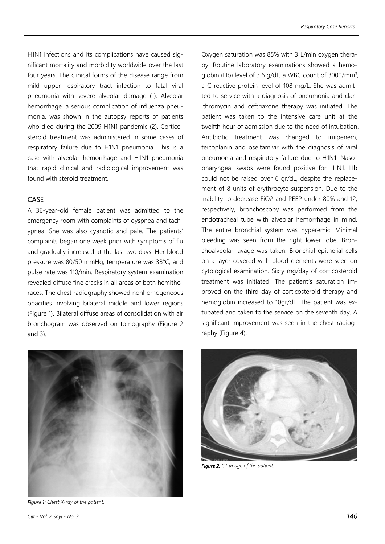H1N1 infections and its complications have caused significant mortality and morbidity worldwide over the last four years. The clinical forms of the disease range from mild upper respiratory tract infection to fatal viral pneumonia with severe alveolar damage (1). Alveolar hemorrhage, a serious complication of influenza pneumonia, was shown in the autopsy reports of patients who died during the 2009 H1N1 pandemic (2). Corticosteroid treatment was administered in some cases of respiratory failure due to H1N1 pneumonia. This is a case with alveolar hemorrhage and H1N1 pneumonia that rapid clinical and radiological improvement was found with steroid treatment.

# CASE

A 36-year-old female patient was admitted to the emergency room with complaints of dyspnea and tachypnea. She was also cyanotic and pale. The patients' complaints began one week prior with symptoms of flu and gradually increased at the last two days. Her blood pressure was 80/50 mmHg, temperature was 38°C, and pulse rate was 110/min. Respiratory system examination revealed diffuse fine cracks in all areas of both hemithoraces. The chest radiography showed nonhomogeneous opacities involving bilateral middle and lower regions (Figure 1). Bilateral diffuse areas of consolidation with air bronchogram was observed on tomography (Figure 2 and 3).



*Figure 1: Chest X-ray of the patient.* 

Oxygen saturation was 85% with 3 L/min oxygen therapy. Routine laboratory examinations showed a hemoglobin (Hb) level of 3.6 g/dL, a WBC count of 3000/mm<sup>3</sup>, a C-reactive protein level of 108 mg/L. She was admitted to service with a diagnosis of pneumonia and clarithromycin and ceftriaxone therapy was initiated. The patient was taken to the intensive care unit at the twelfth hour of admission due to the need of intubation. Antibiotic treatment was changed to imipenem, teicoplanin and oseltamivir with the diagnosis of viral pneumonia and respiratory failure due to H1N1. Nasopharyngeal swabs were found positive for H1N1. Hb could not be raised over 6 gr/dL, despite the replacement of 8 units of erythrocyte suspension. Due to the inability to decrease FiO2 and PEEP under 80% and 12, respectively, bronchoscopy was performed from the endotracheal tube with alveolar hemorrhage in mind. The entire bronchial system was hyperemic. Minimal bleeding was seen from the right lower lobe. Bronchoalveolar lavage was taken. Bronchial epithelial cells on a layer covered with blood elements were seen on cytological examination. Sixty mg/day of corticosteroid treatment was initiated. The patient's saturation improved on the third day of corticosteroid therapy and hemoglobin increased to 10gr/dL. The patient was extubated and taken to the service on the seventh day. A significant improvement was seen in the chest radiography (Figure 4).



*Figure 2: CT image of the patient.*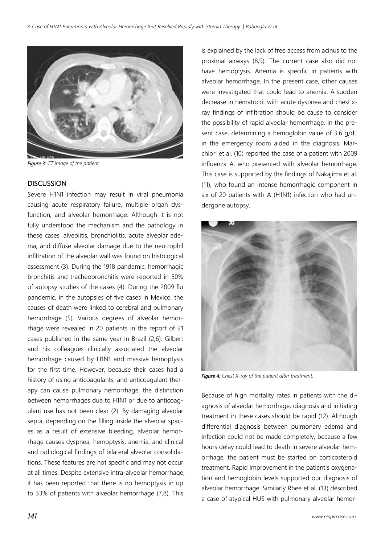

*Figure 3: CT image of the patient.* 

### **DISCUSSION**

Severe H1N1 infection may result in viral pneumonia causing acute respiratory failure, multiple organ dysfunction, and alveolar hemorrhage. Although it is not fully understood the mechanism and the pathology in these cases, alveolitis, bronchiolitis, acute alveolar edema, and diffuse alveolar damage due to the neutrophil infiltration of the alveolar wall was found on histological assessment (3). During the 1918 pandemic, hemorrhagic bronchitis and tracheobronchitis were reported in 50% of autopsy studies of the cases (4). During the 2009 flu pandemic, in the autopsies of five cases in Mexico, the causes of death were linked to cerebral and pulmonary hemorrhage (5). Various degrees of alveolar hemorrhage were revealed in 20 patients in the report of 21 cases published in the same year in Brazil (2,6). Gilbert and his colleagues clinically associated the alveolar hemorrhage caused by H1N1 and massive hemoptysis for the first time. However, because their cases had a history of using anticoagulants, and anticoagulant therapy can cause pulmonary hemorrhage, the distinction between hemorrhages due to H1N1 or due to anticoagulant use has not been clear (2). By damaging alveolar septa, depending on the filling inside the alveolar spaces as a result of extensive bleeding, alveolar hemorrhage causes dyspnea, hemoptysis, anemia, and clinical and radiological findings of bilateral alveolar consolidations. These features are not specific and may not occur at all times. Despite extensive intra-alveolar hemorrhage, it has been reported that there is no hemoptysis in up to 33% of patients with alveolar hemorrhage (7,8). This

is explained by the lack of free access from acinus to the proximal airways (8,9). The current case also did not have hemoptysis. Anemia is specific in patients with alveolar hemorrhage. In the present case, other causes were investigated that could lead to anemia. A sudden decrease in hematocrit with acute dyspnea and chest xray findings of infiltration should be cause to consider the possibility of rapid alveolar hemorrhage. In the present case, determining a hemoglobin value of 3.6 g/dL in the emergency room aided in the diagnosis. Marchiori et al. (10) reported the case of a patient with 2009 influenza A, who presented with alveolar hemorrhage. This case is supported by the findings of Nakajima et al. (11), who found an intense hemorrhagic component in six of 20 patients with A (H1N1) infection who had undergone autopsy.



*Figure 4: Chest X-ray of the patient after treatment.* 

Because of high mortality rates in patients with the diagnosis of alveolar hemorrhage, diagnosis and initiating treatment in these cases should be rapid (12). Although differential diagnosis between pulmonary edema and infection could not be made completely, because a few hours delay could lead to death in severe alveolar hemorrhage, the patient must be started on corticosteroid treatment. Rapid improvement in the patient's oxygenation and hemoglobin levels supported our diagnosis of alveolar hemorrhage. Similarly Rhee et al. (13) described a case of atypical HUS with pulmonary alveolar hemor-